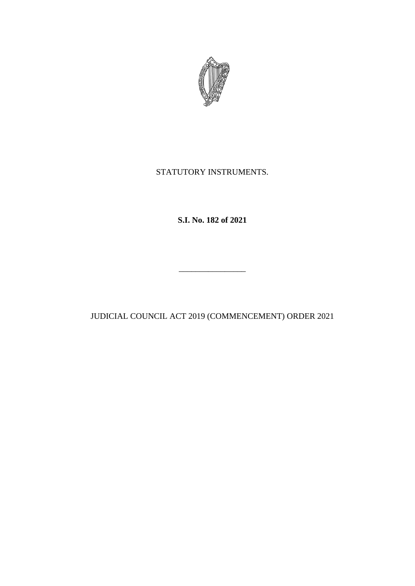

# STATUTORY INSTRUMENTS.

**S.I. No. 182 of 2021**

JUDICIAL COUNCIL ACT 2019 (COMMENCEMENT) ORDER 2021

\_\_\_\_\_\_\_\_\_\_\_\_\_\_\_\_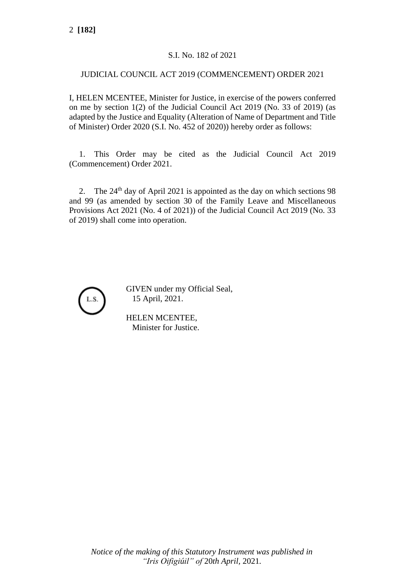# S.I. No. 182 of 2021

### JUDICIAL COUNCIL ACT 2019 (COMMENCEMENT) ORDER 2021

I, HELEN MCENTEE, Minister for Justice, in exercise of the powers conferred on me by section 1(2) of the Judicial Council Act 2019 (No. 33 of 2019) (as adapted by the Justice and Equality (Alteration of Name of Department and Title of Minister) Order 2020 (S.I. No. 452 of 2020)) hereby order as follows:

1. This Order may be cited as the Judicial Council Act 2019 (Commencement) Order 2021.

2. The  $24<sup>th</sup>$  day of April 2021 is appointed as the day on which sections 98 and 99 (as amended by section 30 of the Family Leave and Miscellaneous Provisions Act 2021 (No. 4 of 2021)) of the Judicial Council Act 2019 (No. 33 of 2019) shall come into operation.



GIVEN under my Official Seal, 15 April, 2021.

HELEN MCENTEE, Minister for Justice.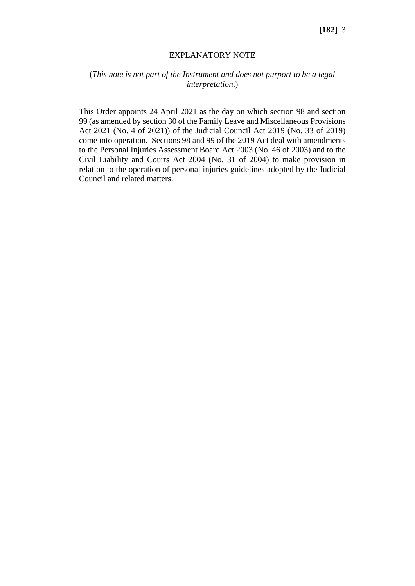#### EXPLANATORY NOTE

# (*This note is not part of the Instrument and does not purport to be a legal interpretation*.)

This Order appoints 24 April 2021 as the day on which section 98 and section 99 (as amended by section 30 of the Family Leave and Miscellaneous Provisions Act 2021 (No. 4 of 2021)) of the Judicial Council Act 2019 (No. 33 of 2019) come into operation. Sections 98 and 99 of the 2019 Act deal with amendments to the Personal Injuries Assessment Board Act 2003 (No. 46 of 2003) and to the Civil Liability and Courts Act 2004 (No. 31 of 2004) to make provision in relation to the operation of personal injuries guidelines adopted by the Judicial Council and related matters.